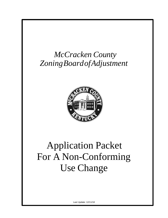## *McCracken County ZoningBoardofAdjustment*



# Application Packet For A Non-Conforming Use Change

Last Update: 12/11/18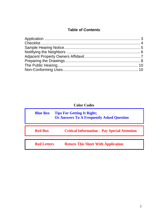## **Table of Contents**

**Color Codes**

| <b>Blue Box</b>    | <b>Tips For Getting It Right;</b><br><b>Or Answers To A Frequently Asked Question</b> |
|--------------------|---------------------------------------------------------------------------------------|
| <b>Red Box</b>     | <b>Critical Information – Pay Special Attention</b>                                   |
| <b>Red Letters</b> | <b>Return This Sheet With Application</b>                                             |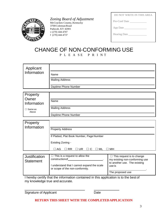| DO NOT WRITE IN THIS AREA |  |  |  |
|---------------------------|--|--|--|
|---------------------------|--|--|--|



<span id="page-2-0"></span>*Zoning Board of Adjustment*

McCracken County, Kentucky 3700ColemanRoad Paducah, KY 42001 v (270) 444-4707 f (270) 444-4737

| Pre-Conf Date |  |
|---------------|--|
|               |  |
| App Date      |  |

| <b>Hearing Date</b> |  |
|---------------------|--|
|                     |  |

#### CHANGE OF NON-CONFORMING USE P L E A S E P R I N T

| Applicant<br>Information |                        |
|--------------------------|------------------------|
|                          | Name                   |
|                          | <b>Mailing Address</b> |
|                          | Daytime Phone Number   |

| Property<br>Owner          |                        |
|----------------------------|------------------------|
| Information                | Name                   |
| $\square$ Same as<br>Above | <b>Mailing Address</b> |
|                            | Daytime Phone Number   |

| Property<br>Information |                                                           |
|-------------------------|-----------------------------------------------------------|
|                         | <b>Property Address</b>                                   |
|                         | If Platted, Plat Book Number, Page Number                 |
|                         | Existing Zoning -                                         |
|                         | <b>RR</b><br>$\Box$ ML<br>$\Box$ AG<br>UR.<br>l MH<br>∣C. |

| Justification<br><b>Statement</b> | $\Box$ This is a request to allow the<br>constructionof<br>I understand that I cannot expand the scale<br>or scope of the non-conformity. | $\Box$ This request is to change<br>my existing non-conforming use<br>to another use. The existing<br>use is |
|-----------------------------------|-------------------------------------------------------------------------------------------------------------------------------------------|--------------------------------------------------------------------------------------------------------------|
|                                   |                                                                                                                                           | The proposed use                                                                                             |

I hereby certify that the information contained in this application is to the best of my knowledge true and accurate.

Signature of Applicant Date

**RETURN THIS SHEET WITH THE COMPLETEDAPPLICATION**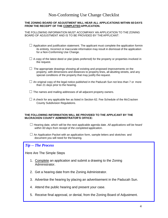#### Non-Conforming Use Change Checklist

#### <span id="page-3-0"></span>**THE ZONING BOARD OF ADJUSTMENT WILL HEAR ALL APPLICATIONS WITHIN 60 DAYS FROM THE RECEIPT OF THE COMPLETED APPLICATION.**

THE FOLLOWING INFORMATION MUST ACCOMPANY AN APPLICATION TO THE ZONING BOARD OF ADJUSTMENT AND IS TO BE PROVIDED BY THEAPPLICANT:

- $\Box$  Application and justification statement. The applicant must complete the application formin its entirety. Incorrect or inaccurate information may result in dismissal of the application for a Non-Conforming Use Change.
- $\Box$  A copy of the latest deed or plat (plats preferred) for the property or properties involved in the request.
- $\Box$  The appropriate drawings showing all existing and proposed improvements on the property, with dimensions and distances to property lines, all abutting streets, and any special conditions of the property that may justify the request.
- $\Box$  An original copy of the legal notice published in the Paducah Sun not less than 7 or more than 21 days prior to the hearing.
- $\Box$  The names and mailing addresses of all adjacent property owners.
- $\Box$  A check for any applicable fee as listed in Section 62. Fee Schedule of the McCracken County Subdivision Regulations.

#### **THE FOLLOWING INFORMATION WILL BE PROVIDED TO THE APPLICANT BY THE McCRACKEN COUNTY ADMINISTRATOR'S OFFICE:**

- ☐ Hearing date, which will be the next applicable agenda date. *All applications will be heard within 60 days from receipt of the completed applicatio*n.
- $\Box$  An Application Packet with an application form, sample letters and sketches and document you will need for the hearing.

#### *Tip -- The Process*

Here Are The Simple Steps

- 1. Complete an application and submit a drawing to the Zoning Administrator.
- 2. Get a hearing date from the Zoning Administrator.
- 3. Advertise the hearing by placing an advertisement in the Paducah Sun.
- 4. Attend the public hearing and present your case.
- 5. Receive final approval, or denial, from the Zoning Board of Adjustment.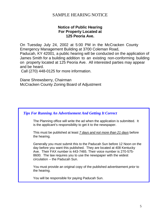### SAMPLE HEARING NOTICE

#### **Notice of Public Hearing For Property Located at 125 Peoria Ave.**

<span id="page-4-0"></span>On Tuesday July 24, 2002 at 5:00 PM in the McCracken County Emergency Management Building at 3700 Coleman Road, Paducah, KY 42001, a public hearing will be conducted on the application of James Smith for a building addition to an existing non-conforming building on property located at 125 Peoria Ave. All interested parties may appear and be heard.

Call (270) 448-0125 for more information.

Diane Shrewsberry, Chairman McCracken County Zoning Board of Adjustment

#### *Tips For Running An Advertisement And Getting It Correct*

The Planning office will write the ad when the application is submitted. It is the applicant's responsibility to get it to the newspaper.

This must be published at least *7 days and not more than 21 days* before the hearing.

Generally you must submit this to the Paducah Sun before 12 Noon on the day before you want this published. They are located at 408 Kentucky Ave. Their FAX number is 443-7465. Their voice number is 270-575- 8600. The law requires you to use the newspaper with the widest circulation -- the Paducah Sun.

You must provide an original copy of the published advertisement *prior* to the hearing.

You will be responsible for paying Paducah Sun.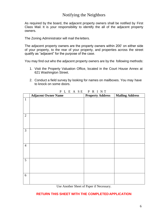#### Notifying the Neighbors

<span id="page-5-0"></span>As required by the board, the adjacent property owners shall be notified by First Class Mail. It is your responsibility to identify the all of the adjacent property owners.

The Zoning Administrator will mail the letters.

The adjacent property owners are the property owners within 200' on either side of your property, to the rear of your property, and properties across the street qualify as "adjacent" for the purpose of the case.

You may find out who the adjacent property owners are by the following methods:

- 1. Visit the Property Valuation Office, located in the Court House Annex at 621 Washington Street.
- 2. Conduct a field survey by looking for names on mailboxes. You may have to knock on some doors.

|                | - -<br>$\overline{\phantom{0}}$<br><b>Adjacent Owner Name</b> | $ -$<br><b>Property Address</b> | <b>Mailing Address</b> |
|----------------|---------------------------------------------------------------|---------------------------------|------------------------|
| $\mathbf{1}$   |                                                               |                                 |                        |
|                |                                                               |                                 |                        |
|                |                                                               |                                 |                        |
| $\overline{2}$ |                                                               |                                 |                        |
|                |                                                               |                                 |                        |
| $\mathfrak{Z}$ |                                                               |                                 |                        |
|                |                                                               |                                 |                        |
| $\overline{4}$ |                                                               |                                 |                        |
|                |                                                               |                                 |                        |
| 5              |                                                               |                                 |                        |
|                |                                                               |                                 |                        |
|                |                                                               |                                 |                        |
| $6\,$          |                                                               |                                 |                        |
|                |                                                               |                                 |                        |

P L E A S E P R I N T

Use Another Sheet of Paper if Necessary.

#### **RETURN THIS SHEET WITH THE COMPLETED APPLICATION**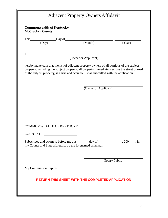<span id="page-6-0"></span>

| <b>McCracken County</b> |                                 |                                                                   |               |
|-------------------------|---------------------------------|-------------------------------------------------------------------|---------------|
|                         |                                 | This $\qquad \qquad \text{Day of} \qquad \qquad (Monthly)$ (Year) |               |
|                         |                                 |                                                                   |               |
|                         |                                 | (Owner or Applicant)                                              |               |
|                         |                                 |                                                                   |               |
|                         |                                 | (Owner or Applicant)                                              |               |
|                         |                                 |                                                                   |               |
|                         | <b>COMMOMWEALTH OF KENTUCKY</b> |                                                                   |               |
|                         | COUNTY OF _____                 |                                                                   |               |
|                         |                                 | my County and State aforesaid, by the forenamed principal.        |               |
|                         |                                 |                                                                   | Notary Public |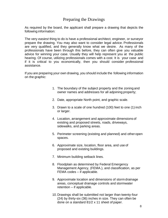## Preparing the Drawings

<span id="page-7-0"></span>As required by the board, the applicant shall prepare a drawing that depicts the following information:

The very *easiest* thing to do is have a professional architect, engineer, or surveyor prepare the drawing. You may also want to consider legal advice. Professionals are very qualified, and they generally know what we desire. As many of the professionals have been through this before, they can often give you valuable advice for winning your case. Usually they will help represent you at the public hearing. Of course, utilizing professionals comes with a cost. It is your case and if it is critical to you economically, then you should consider professional assistance.

If you are preparing your own drawing, you should include the following information on the graphic:

- 1. The boundary of the subject property and the zoning and owner names and addresses for all adjoining property;
- 2. Date, appropriate North point, and graphic scale.
- 3. Drawn to a scale of one hundred (100) feet to one (1) inch or larger.
- 4. Location, arrangement and approximate dimensions of existing and proposed streets, roads, driveways, sidewalks, and parking areas.
- 5. Perimeter screening (existing and planned) and otheropen spaces.
- 6. Approximate size, location, floor area, and use of proposed and existing buildings.
- 7. Minimum building setback lines.
- 8. Floodplain as determined by Federal Emergency Management Agency, (FEMA.), and classification, as per FEMA codes – if applicable.
- 9. Approximate location and dimensions of storm drainage areas, conceptual drainage controls and stormwater retention – if applicable.
- 10. Drawings shall be submitted not larger than twenty-four (24) by thirty-six (36) inches in size. They can often be done on a standard 81/2 x 11 sheet of paper.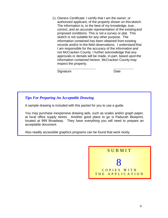11.Owners Certificate: I certify that I am the owner, or authorized applicant, of the property shown on this sketch. The information is, to the best of my knowledge, true, correct, and an accurate representation of the existing and proposed conditions. This is not a survey or plat. This sketch is not suitable for any other purpose. The information contained has been obtained from existing records and/or in-the-field observations. I understand that I am responsible for the accuracy of the information and not McCracken County. I further acknowledge that any approvals or denials will be made, in-part, based upon the information contained hereon. McCracken County may inspect the property.

Signature Date

#### *Tips For Preparing An Acceptable Drawing*

A sample drawing is included with this packet for you to use a guide.

You may purchase inexpensive drawing aids, such as scales and/or graph paper, at local office supply stores. Another good place to go is Paducah Blueprint, located at 999 Broadway. They have everything you will need to prepare an acceptable document.

Also readily accessible graphics programs can be found that work nicely.

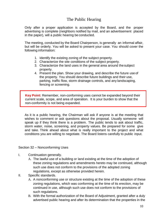## The Public Hearing

<span id="page-9-0"></span>Only after a proper application is accepted by the Board, and the proper advertising is complete (neighbors notified by mail, and an advertisement placed in the paper), will a public hearing be conducted.

The meeting, conducted by the Board Chairperson, is generally an informal affair, but will be orderly. You will be asked to present your case. You should cover the following information:

- 1. Identify the existing zoning of the subject property.
- 2. Characterize the site conditions of the subject property.
- 3. Characterize the land uses in the general area around thesubject property.
- 4. Present the plan. Show your drawing, and describe the future use of the property. You should describe future buildings and their use, parking, traffic flow, storm drainage controls, and any landscaping, fencing or screening.

**Key Point:** Remember, non-conforming uses cannot be expanded beyond their current scale, scope, and area of operation. It is your burden to show that the non-conformity is not being expanded.

As it is a public hearing, the Chairman will ask if anyone is at the meeting that wishes to comment or ask questions about the proposal. Usually someone will speak up if they think there is a problem. The public tends to ask about traffic, storm water, noise, screening, and property values. Be prepared for some give and take. Think ahead about what is really important to the project and what conditions you are willing to negotiate. The Board listens carefully to public input.

Section 32 – Nonconforming Uses

- I. Continuation generally.
	- A. The lawful use of a building or land existing at the time of the adoption of these zoning regulations and amendments hereto may be continued, although such use does not conform to the provisions of the adopted zoning regulations, except as otherwise provided herein.
- II. Specific standards.
	- A. A nonconforming use or structure existing at the time of the adoption of these zoning regulations, which was conforming at the time of its erection, may be continued in use, although such use does not conform to the provisions of such regulations.
	- B. With the formal authorization of the Board of Adjustment, granted after a duly advertised public hearing and after its determination that the properties in the